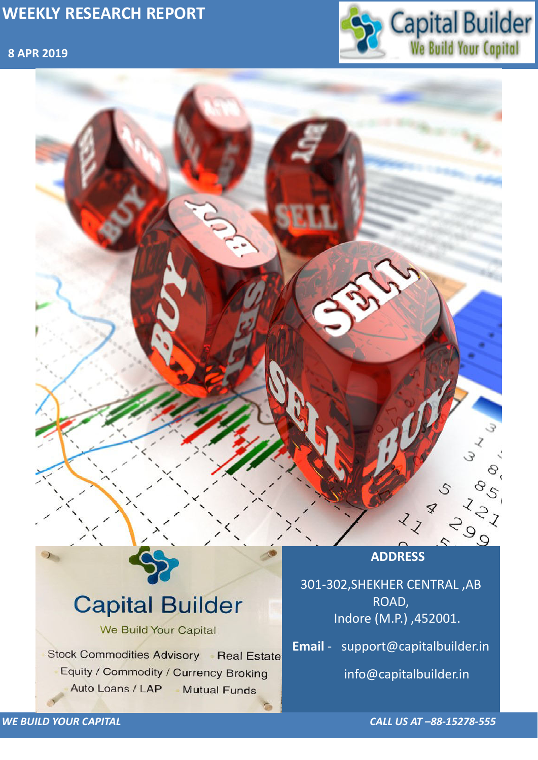## **8 APR 2019**



*WE BUILD YOUR CAPITAL CALL US AT –88-15278-555*

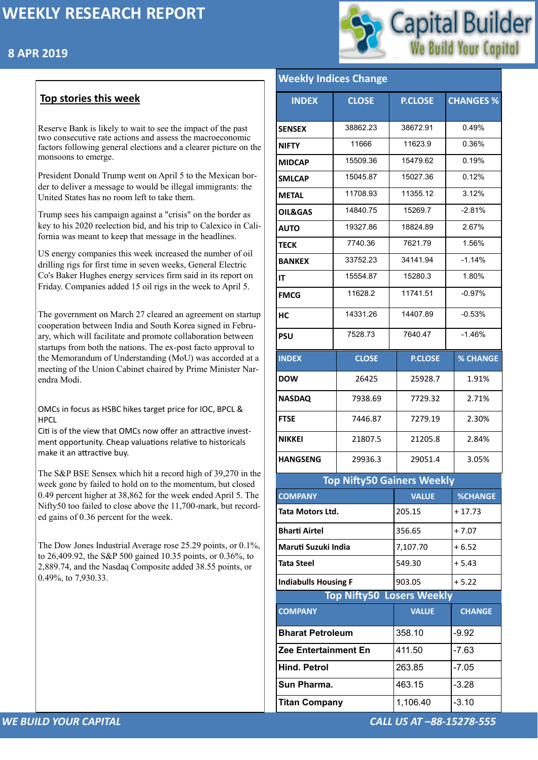## **8 APR 2019**



|                                                                                                                                                                                                                           |                                           | <b>Weekly Indices Change</b>      |                        |                                                |
|---------------------------------------------------------------------------------------------------------------------------------------------------------------------------------------------------------------------------|-------------------------------------------|-----------------------------------|------------------------|------------------------------------------------|
| Top stories this week                                                                                                                                                                                                     | <b>INDEX</b>                              | <b>CLOSE</b>                      | <b>P.CLOSE</b>         | <b>CHANGES %</b>                               |
| Reserve Bank is likely to wait to see the impact of the past                                                                                                                                                              | <b>SENSEX</b>                             | 38862.23                          | 38672.91               | 0.49%                                          |
| two consecutive rate actions and assess the macroeconomic<br>factors following general elections and a clearer picture on the                                                                                             | <b>NIFTY</b>                              | 11666                             | 11623.9                | 0.36%                                          |
| monsoons to emerge.                                                                                                                                                                                                       | <b>MIDCAP</b>                             | 15509.36                          | 15479.62               | 0.19%                                          |
| President Donald Trump went on April 5 to the Mexican bor-                                                                                                                                                                | <b>SMLCAP</b>                             | 15045.87                          | 15027.36               | 0.12%                                          |
| der to deliver a message to would be illegal immigrants: the<br>United States has no room left to take them.                                                                                                              | <b>METAL</b>                              | 11708.93                          | 11355.12               | 3.12%                                          |
| Trump sees his campaign against a "crisis" on the border as                                                                                                                                                               | <b>OIL&amp;GAS</b>                        | 14840.75                          | 15269.7                | $-2.81%$                                       |
| key to his 2020 reelection bid, and his trip to Calexico in Cali-                                                                                                                                                         | <b>AUTO</b>                               | 19327.86                          | 18824.89               | 2.67%                                          |
| fornia was meant to keep that message in the headlines.                                                                                                                                                                   | <b>TECK</b>                               | 7740.36                           | 7621.79                | 1.56%                                          |
| US energy companies this week increased the number of oil<br>drilling rigs for first time in seven weeks, General Electric                                                                                                | <b>BANKEX</b>                             | 33752.23                          | 34141.94               | $-1.14%$                                       |
| Co's Baker Hughes energy services firm said in its report on                                                                                                                                                              | IT                                        | 15554.87                          | 15280.3                | 1.80%                                          |
| Friday. Companies added 15 oil rigs in the week to April 5.                                                                                                                                                               | <b>FMCG</b>                               | 11628.2                           | 11741.51               | $-0.97%$                                       |
| The government on March 27 cleared an agreement on startup                                                                                                                                                                | HC                                        | 14331.26                          | 14407.89               | $-0.53%$                                       |
| cooperation between India and South Korea signed in Febru-<br>ary, which will facilitate and promote collaboration between<br>startups from both the nations. The ex-post facto approval to                               | <b>PSU</b>                                | 7528.73                           | 7640.47                | $-1.46%$                                       |
| the Memorandum of Understanding (MoU) was accorded at a<br>meeting of the Union Cabinet chaired by Prime Minister Nar-                                                                                                    | <b>INDEX</b>                              | <b>CLOSE</b>                      | <b>P.CLOSE</b>         | <b>% CHANGE</b>                                |
| endra Modi.                                                                                                                                                                                                               | <b>DOW</b>                                | 26425                             | 25928.7                | 1.91%                                          |
|                                                                                                                                                                                                                           | <b>NASDAQ</b>                             | 7938.69                           | 7729.32                | 2.71%                                          |
| OMCs in focus as HSBC hikes target price for IOC, BPCL &<br><b>HPCL</b>                                                                                                                                                   | <b>FTSE</b>                               | 7446.87                           | 7279.19                | 2.30%                                          |
| Citi is of the view that OMCs now offer an attractive invest-                                                                                                                                                             | <b>NIKKEI</b>                             | 21807.5                           | 21205.8                | 2.84%                                          |
| ment opportunity. Cheap valuations relative to historicals<br>make it an attractive buy.                                                                                                                                  | <b>HANGSENG</b>                           | 29936.3                           | 29051.4                | 3.05%                                          |
| The S&P BSE Sensex which hit a record high of 39,270 in the                                                                                                                                                               |                                           |                                   |                        |                                                |
| week gone by failed to hold on to the momentum, but closed                                                                                                                                                                |                                           | <b>Top Nifty50 Gainers Weekly</b> |                        |                                                |
| 0.49 percent higher at 38,862 for the week ended April 5. The<br>Nifty50 too failed to close above the 11,700-mark, but record-                                                                                           | <b>COMPANY</b><br><b>Tata Motors Ltd.</b> |                                   | <b>VALUE</b><br>205.15 | <b>%CHANGE</b><br>$+17.73$                     |
| ed gains of 0.36 percent for the week.                                                                                                                                                                                    |                                           |                                   |                        | $+7.07$                                        |
|                                                                                                                                                                                                                           |                                           |                                   |                        |                                                |
|                                                                                                                                                                                                                           | <b>Bharti Airtel</b>                      |                                   | 356.65                 |                                                |
|                                                                                                                                                                                                                           | <b>Maruti Suzuki India</b>                |                                   | 7,107.70               |                                                |
|                                                                                                                                                                                                                           | <b>Tata Steel</b>                         |                                   | 549.30                 |                                                |
|                                                                                                                                                                                                                           | <b>Indiabulls Housing F</b>               |                                   | 903.05                 | $+6.52$<br>$+ 5.43$<br>$+5.22$                 |
|                                                                                                                                                                                                                           |                                           | <b>Top Nifty50 Losers Weekly</b>  |                        |                                                |
|                                                                                                                                                                                                                           | <b>COMPANY</b>                            |                                   | <b>VALUE</b>           |                                                |
|                                                                                                                                                                                                                           | <b>Bharat Petroleum</b>                   |                                   | 358.10                 |                                                |
| The Dow Jones Industrial Average rose $25.29$ points, or $0.1\%$ ,<br>to 26,409.92, the S&P 500 gained 10.35 points, or 0.36%, to<br>2,889.74, and the Nasdaq Composite added 38.55 points, or<br>$0.49\%$ , to 7,930.33. | Zee Entertainment En                      |                                   | 411.50                 |                                                |
|                                                                                                                                                                                                                           | <b>Hind. Petrol</b>                       |                                   | 263.85                 | <b>CHANGE</b><br>$-9.92$<br>$-7.63$<br>$-7.05$ |
|                                                                                                                                                                                                                           | <b>Sun Pharma.</b>                        |                                   | 463.15                 | $-3.28$                                        |

|  | <b>Weekly Indices Change</b> |  |
|--|------------------------------|--|
|--|------------------------------|--|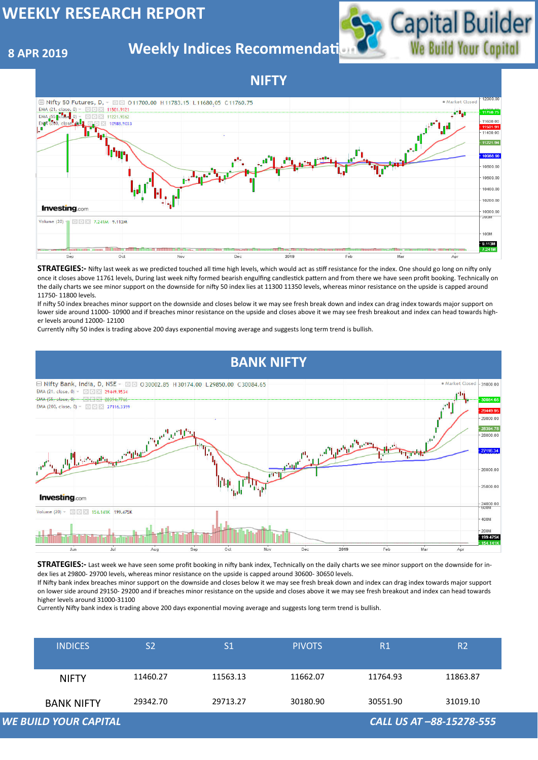### **8 APR 2019**

## **Weekly Indices Recommendati**



| CALL US AT -88-15278-555<br><b>WE BUILD YOUR CAPITAL</b> |                   |                |                |               |                |                |  |
|----------------------------------------------------------|-------------------|----------------|----------------|---------------|----------------|----------------|--|
|                                                          | <b>BANK NIFTY</b> | 29342.70       | 29713.27       | 30180.90      | 30551.90       | 31019.10       |  |
|                                                          | <b>NIFTY</b>      | 11460.27       | 11563.13       | 11662.07      | 11764.93       | 11863.87       |  |
|                                                          | <b>INDICES</b>    | S <sub>2</sub> | S <sub>1</sub> | <b>PIVOTS</b> | R <sub>1</sub> | R <sub>2</sub> |  |

## **NIFTY**





**STRATEGIES:** - Nifty last week as we predicted touched all time high levels, which would act as stiff resistance for the index. One should go long on nifty only once it closes above 11761 levels, During last week nifty formed bearish engulfing candlestick pattern and from there we have seen profit booking. Technically on the daily charts we see minor support on the downside for nifty 50 index lies at 11300 11350 levels, whereas minor resistance on the upside is capped around 11750- 11800 levels.

**STRATEGIES:**- Last week we have seen some profit booking in nifty bank index, Technically on the daily charts we see minor support on the downside for index lies at 29800- 29700 levels, whereas minor resistance on the upside is capped around 30600- 30650 levels.

If nifty 50 index breaches minor support on the downside and closes below it we may see fresh break down and index can drag index towards major support on lower side around 11000- 10900 and if breaches minor resistance on the upside and closes above it we may see fresh breakout and index can head towards higher levels around 12000- 12100

Currently nifty 50 index is trading above 200 days exponential moving average and suggests long term trend is bullish.

If Nifty bank index breaches minor support on the downside and closes below it we may see fresh break down and index can drag index towards major support on lower side around 29150- 29200 and if breaches minor resistance on the upside and closes above it we may see fresh breakout and index can head towards higher levels around 31000-31100

Currently Nifty bank index is trading above 200 days exponential moving average and suggests long term trend is bullish.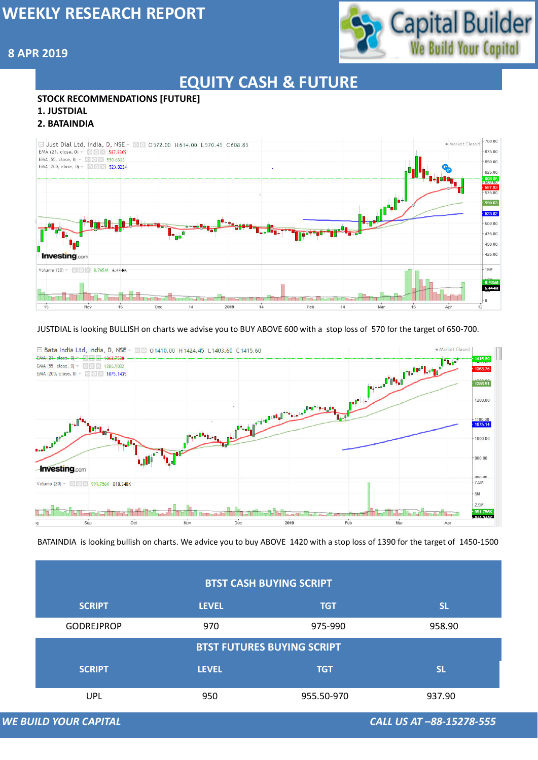

## **8 APR 2019**

# **EQUITY CASH & FUTURE**

#### **STOCK RECOMMENDATIONS [FUTURE]**

#### **1. JUSTDIAL**

#### **2. BATAINDIA**



#### **BTST CASH BUYING SCRIPT**

#### JUSTDIAL is looking BULLISH on charts we advise you to BUY ABOVE 600 with a stop loss of 570 for the target of 650-700.



| <b>SCRIPT</b>                                            | <b>LEVEL</b> | <b>TGT</b> | <b>SL</b> |  |  |  |
|----------------------------------------------------------|--------------|------------|-----------|--|--|--|
| <b>GODREJPROP</b>                                        | 970          | 975-990    | 958.90    |  |  |  |
| <b>BTST FUTURES BUYING SCRIPT</b>                        |              |            |           |  |  |  |
| <b>SCRIPT</b>                                            | <b>LEVEL</b> | <b>TGT</b> | <b>SL</b> |  |  |  |
| <b>UPL</b>                                               | 950          | 955.50-970 | 937.90    |  |  |  |
| <b>WE BUILD YOUR CAPITAL</b><br>CALL US AT -88-15278-555 |              |            |           |  |  |  |

BATAINDIA is looking bullish on charts. We advice you to buy ABOVE 1420 with a stop loss of 1390 for the target of 1450-1500